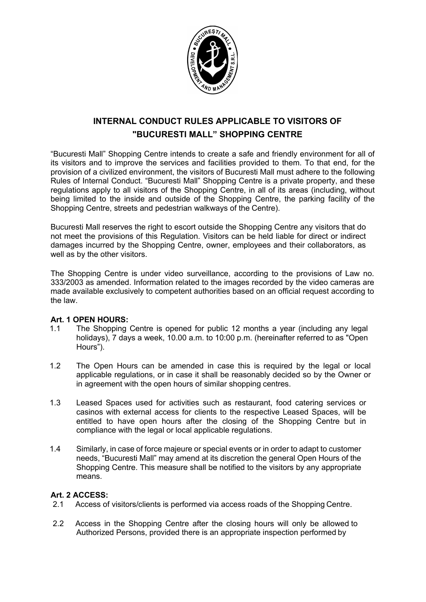

# **INTERNAL CONDUCT RULES APPLICABLE TO VISITORS OF "BUCURESTI MALL" SHOPPING CENTRE**

"Bucuresti Mall" Shopping Centre intends to create a safe and friendly environment for all of its visitors and to improve the services and facilities provided to them. To that end, for the provision of a civilized environment, the visitors of Bucuresti Mall must adhere to the following Rules of Internal Conduct. "Bucuresti Mall" Shopping Centre is a private property, and these regulations apply to all visitors of the Shopping Centre, in all of its areas (including, without being limited to the inside and outside of the Shopping Centre, the parking facility of the Shopping Centre, streets and pedestrian walkways of the Centre).

Bucuresti Mall reserves the right to escort outside the Shopping Centre any visitors that do not meet the provisions of this Regulation. Visitors can be held liable for direct or indirect damages incurred by the Shopping Centre, owner, employees and their collaborators, as well as by the other visitors.

The Shopping Centre is under video surveillance, according to the provisions of Law no. 333/2003 as amended. Information related to the images recorded by the video cameras are made available exclusively to competent authorities based on an official request according to the law.

#### **Art. 1 OPEN HOURS:**

- 1.1 The Shopping Centre is opened for public 12 months a year (including any legal holidays), 7 days a week, 10.00 a.m. to 10:00 p.m. (hereinafter referred to as "Open Hours").
- 1.2 The Open Hours can be amended in case this is required by the legal or local applicable regulations, or in case it shall be reasonably decided so by the Owner or in agreement with the open hours of similar shopping centres.
- 1.3 Leased Spaces used for activities such as restaurant, food catering services or casinos with external access for clients to the respective Leased Spaces, will be entitled to have open hours after the closing of the Shopping Centre but in compliance with the legal or local applicable regulations.
- 1.4 Similarly, in case of force majeure or special events or in order to adapt to customer needs, "Bucuresti Mall" may amend at its discretion the general Open Hours of the Shopping Centre. This measure shall be notified to the visitors by any appropriate means.

### **Art. 2 ACCESS:**

- 2.1 Access of visitors/clients is performed via access roads of the Shopping Centre.
- 2.2 Access in the Shopping Centre after the closing hours will only be allowed to Authorized Persons, provided there is an appropriate inspection performed by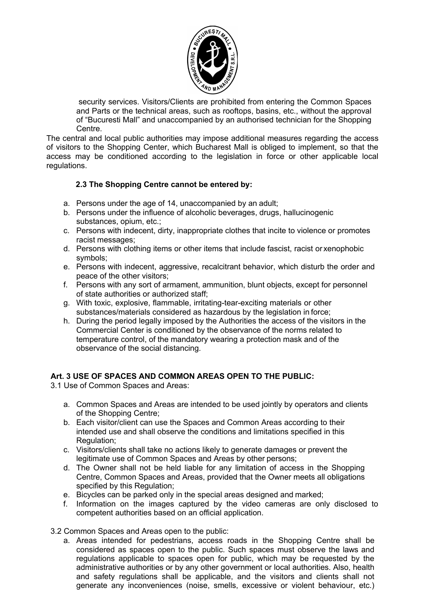

security services. Visitors/Clients are prohibited from entering the Common Spaces and Parts or the technical areas, such as rooftops, basins, etc., without the approval of "Bucuresti Mall" and unaccompanied by an authorised technician for the Shopping Centre.

The central and local public authorities may impose additional measures regarding the access of visitors to the Shopping Center, which Bucharest Mall is obliged to implement, so that the access may be conditioned according to the legislation in force or other applicable local regulations.

## **2.3 The Shopping Centre cannot be entered by:**

- a. Persons under the age of 14, unaccompanied by an adult;
- b. Persons under the influence of alcoholic beverages, drugs, hallucinogenic substances, opium, etc.;
- c. Persons with indecent, dirty, inappropriate clothes that incite to violence or promotes racist messages;
- d. Persons with clothing items or other items that include fascist, racist or xenophobic symbols;
- e. Persons with indecent, aggressive, recalcitrant behavior, which disturb the order and peace of the other visitors;
- f. Persons with any sort of armament, ammunition, blunt objects, except for personnel of state authorities or authorized staff;
- g. With toxic, explosive, flammable, irritating-tear-exciting materials or other substances/materials considered as hazardous by the legislation in force;
- h. During the period legally imposed by the Authorities the access of the visitors in the Commercial Center is conditioned by the observance of the norms related to temperature control, of the mandatory wearing a protection mask and of the observance of the social distancing.

### **Art. 3 USE OF SPACES AND COMMON AREAS OPEN TO THE PUBLIC:**

3.1 Use of Common Spaces and Areas:

- a. Common Spaces and Areas are intended to be used jointly by operators and clients of the Shopping Centre;
- b. Each visitor/client can use the Spaces and Common Areas according to their intended use and shall observe the conditions and limitations specified in this Regulation;
- c. Visitors/clients shall take no actions likely to generate damages or prevent the legitimate use of Common Spaces and Areas by other persons;
- d. The Owner shall not be held liable for any limitation of access in the Shopping Centre, Common Spaces and Areas, provided that the Owner meets all obligations specified by this Regulation;
- e. Bicycles can be parked only in the special areas designed and marked;
- f. Information on the images captured by the video cameras are only disclosed to competent authorities based on an official application.

3.2 Common Spaces and Areas open to the public:

a. Areas intended for pedestrians, access roads in the Shopping Centre shall be considered as spaces open to the public. Such spaces must observe the laws and regulations applicable to spaces open for public, which may be requested by the administrative authorities or by any other government or local authorities. Also, health and safety regulations shall be applicable, and the visitors and clients shall not generate any inconveniences (noise, smells, excessive or violent behaviour, etc.)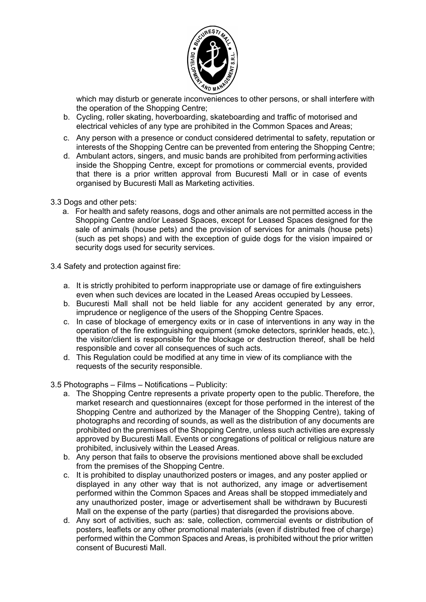

which may disturb or generate inconveniences to other persons, or shall interfere with the operation of the Shopping Centre;

- b. Cycling, roller skating, hoverboarding, skateboarding and traffic of motorised and electrical vehicles of any type are prohibited in the Common Spaces and Areas;
- c. Any person with a presence or conduct considered detrimental to safety, reputation or interests of the Shopping Centre can be prevented from entering the Shopping Centre;
- d. Ambulant actors, singers, and music bands are prohibited from performing activities inside the Shopping Centre, except for promotions or commercial events, provided that there is a prior written approval from Bucuresti Mall or in case of events organised by Bucuresti Mall as Marketing activities.
- 3.3 Dogs and other pets:
	- a. For health and safety reasons, dogs and other animals are not permitted access in the Shopping Centre and/or Leased Spaces, except for Leased Spaces designed for the sale of animals (house pets) and the provision of services for animals (house pets) (such as pet shops) and with the exception of guide dogs for the vision impaired or security dogs used for security services.
- 3.4 Safety and protection against fire:
	- a. It is strictly prohibited to perform inappropriate use or damage of fire extinguishers even when such devices are located in the Leased Areas occupied by Lessees.
	- b. Bucuresti Mall shall not be held liable for any accident generated by any error, imprudence or negligence of the users of the Shopping Centre Spaces.
	- c. In case of blockage of emergency exits or in case of interventions in any way in the operation of the fire extinguishing equipment (smoke detectors, sprinkler heads, etc.), the visitor/client is responsible for the blockage or destruction thereof, shall be held responsible and cover all consequences of such acts.
	- d. This Regulation could be modified at any time in view of its compliance with the requests of the security responsible.
- 3.5 Photographs Films Notifications Publicity:
	- a. The Shopping Centre represents a private property open to the public. Therefore, the market research and questionnaires (except for those performed in the interest of the Shopping Centre and authorized by the Manager of the Shopping Centre), taking of photographs and recording of sounds, as well as the distribution of any documents are prohibited on the premises of the Shopping Centre, unless such activities are expressly approved by Bucuresti Mall. Events or congregations of political or religious nature are prohibited, inclusively within the Leased Areas.
	- b. Any person that fails to observe the provisions mentioned above shall be excluded from the premises of the Shopping Centre.
	- c. It is prohibited to display unauthorized posters or images, and any poster applied or displayed in any other way that is not authorized, any image or advertisement performed within the Common Spaces and Areas shall be stopped immediately and any unauthorized poster, image or advertisement shall be withdrawn by Bucuresti Mall on the expense of the party (parties) that disregarded the provisions above.
	- d. Any sort of activities, such as: sale, collection, commercial events or distribution of posters, leaflets or any other promotional materials (even if distributed free of charge) performed within the Common Spaces and Areas, is prohibited without the prior written consent of Bucuresti Mall.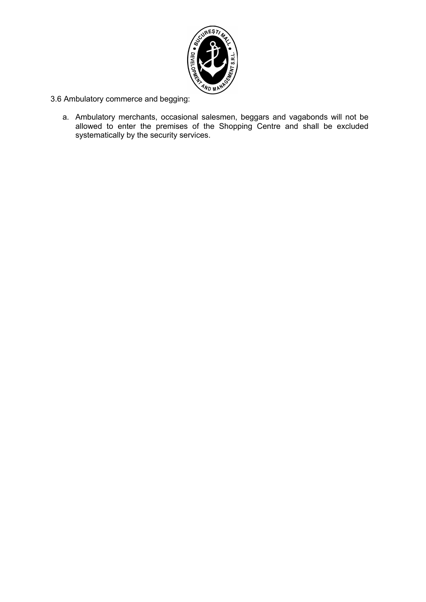

3.6 Ambulatory commerce and begging:

a. Ambulatory merchants, occasional salesmen, beggars and vagabonds will not be allowed to enter the premises of the Shopping Centre and shall be excluded systematically by the security services.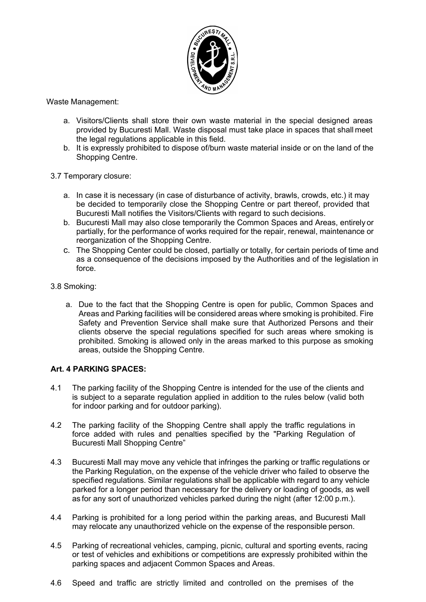

Waste Management:

- a. Visitors/Clients shall store their own waste material in the special designed areas provided by Bucuresti Mall. Waste disposal must take place in spaces that shall meet the legal regulations applicable in this field.
- b. It is expressly prohibited to dispose of/burn waste material inside or on the land of the Shopping Centre.
- 3.7 Temporary closure:
	- a. In case it is necessary (in case of disturbance of activity, brawls, crowds, etc.) it may be decided to temporarily close the Shopping Centre or part thereof, provided that Bucuresti Mall notifies the Visitors/Clients with regard to such decisions.
	- b. Bucuresti Mall may also close temporarily the Common Spaces and Areas, entirely or partially, for the performance of works required for the repair, renewal, maintenance or reorganization of the Shopping Centre.
	- c. The Shopping Center could be closed, partially or totally, for certain periods of time and as a consequence of the decisions imposed by the Authorities and of the legislation in force.
- 3.8 Smoking:
	- a. Due to the fact that the Shopping Centre is open for public, Common Spaces and Areas and Parking facilities will be considered areas where smoking is prohibited. Fire Safety and Prevention Service shall make sure that Authorized Persons and their clients observe the special regulations specified for such areas where smoking is prohibited. Smoking is allowed only in the areas marked to this purpose as smoking areas, outside the Shopping Centre.

### **Art. 4 PARKING SPACES:**

- 4.1 The parking facility of the Shopping Centre is intended for the use of the clients and is subject to a separate regulation applied in addition to the rules below (valid both for indoor parking and for outdoor parking).
- 4.2 The parking facility of the Shopping Centre shall apply the traffic regulations in force added with rules and penalties specified by the "Parking Regulation of Bucuresti Mall Shopping Centre"
- 4.3 Bucuresti Mall may move any vehicle that infringes the parking or traffic regulations or the Parking Regulation, on the expense of the vehicle driver who failed to observe the specified regulations. Similar regulations shall be applicable with regard to any vehicle parked for a longer period than necessary for the delivery or loading of goods, as well as for any sort of unauthorized vehicles parked during the night (after 12:00 p.m.).
- 4.4 Parking is prohibited for a long period within the parking areas, and Bucuresti Mall may relocate any unauthorized vehicle on the expense of the responsible person.
- 4.5 Parking of recreational vehicles, camping, picnic, cultural and sporting events, racing or test of vehicles and exhibitions or competitions are expressly prohibited within the parking spaces and adjacent Common Spaces and Areas.
- 4.6 Speed and traffic are strictly limited and controlled on the premises of the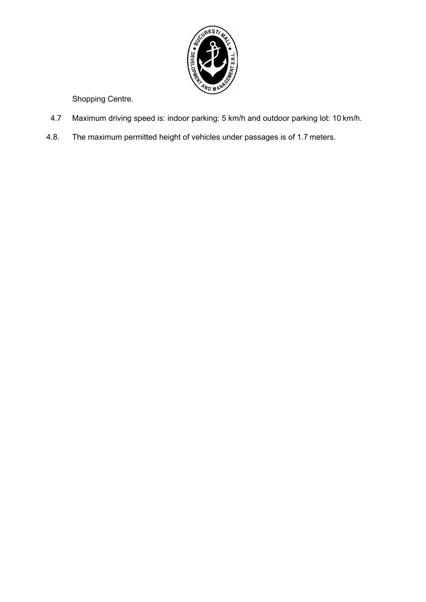

Shopping Centre.

- 4.7 Maximum driving speed is: indoor parking: 5 km/h and outdoor parking lot: 10 km/h.
- 4.8. The maximum permitted height of vehicles under passages is of 1.7 meters.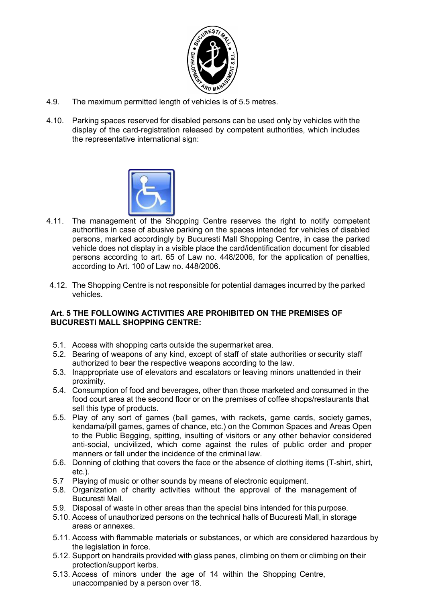

- 4.9. The maximum permitted length of vehicles is of 5.5 metres.
- 4.10. Parking spaces reserved for disabled persons can be used only by vehicles with the display of the card-registration released by competent authorities, which includes the representative international sign:



- 4.11. The management of the Shopping Centre reserves the right to notify competent authorities in case of abusive parking on the spaces intended for vehicles of disabled persons, marked accordingly by Bucuresti Mall Shopping Centre, in case the parked vehicle does not display in a visible place the card/identification document for disabled persons according to art. 65 of Law no. 448/2006, for the application of penalties, according to Art. 100 of Law no. 448/2006.
- 4.12. The Shopping Centre is not responsible for potential damages incurred by the parked vehicles.

#### **Art. 5 THE FOLLOWING ACTIVITIES ARE PROHIBITED ON THE PREMISES OF BUCURESTI MALL SHOPPING CENTRE:**

- 5.1. Access with shopping carts outside the supermarket area.
- 5.2. Bearing of weapons of any kind, except of staff of state authorities or security staff authorized to bear the respective weapons according to the law.
- 5.3. Inappropriate use of elevators and escalators or leaving minors unattended in their proximity.
- 5.4. Consumption of food and beverages, other than those marketed and consumed in the food court area at the second floor or on the premises of coffee shops/restaurants that sell this type of products.
- 5.5. Play of any sort of games (ball games, with rackets, game cards, society games, kendama/pill games, games of chance, etc.) on the Common Spaces and Areas Open to the Public Begging, spitting, insulting of visitors or any other behavior considered anti-social, uncivilized, which come against the rules of public order and proper manners or fall under the incidence of the criminal law.
- 5.6. Donning of clothing that covers the face or the absence of clothing items (T-shirt, shirt, etc.).
- 5.7 Playing of music or other sounds by means of electronic equipment.
- 5.8. Organization of charity activities without the approval of the management of Bucuresti Mall.
- 5.9. Disposal of waste in other areas than the special bins intended for this purpose.
- 5.10. Access of unauthorized persons on the technical halls of Bucuresti Mall, in storage areas or annexes.
- 5.11. Access with flammable materials or substances, or which are considered hazardous by the legislation in force.
- 5.12. Support on handrails provided with glass panes, climbing on them or climbing on their protection/support kerbs.
- 5.13. Access of minors under the age of 14 within the Shopping Centre, unaccompanied by a person over 18.